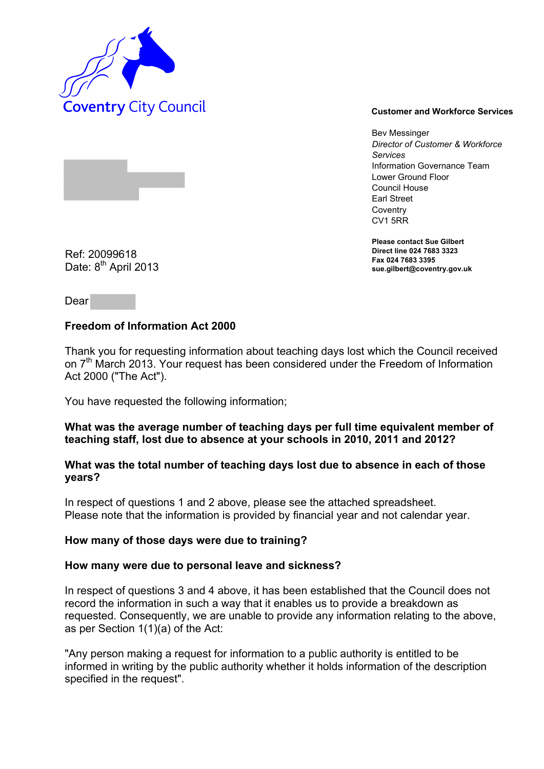

Bev Messinger *Director of Customer & Workforce Services*  Information Governance Team Lower Ground Floor Council House Earl Street **Coventry** CV1 5RR

**Please contact Sue Gilbert Direct line 024 7683 3323 Fax 024 7683 3395 sue.gilbert@coventry.gov.uk** 

Ref: 20099618 Date: 8<sup>th</sup> April 2013

Dear

# **Freedom of Information Act 2000**

Thank you for requesting information about teaching days lost which the Council received on 7<sup>th</sup> March 2013. Your request has been considered under the Freedom of Information Act 2000 ("The Act").

You have requested the following information;

#### **What was the average number of teaching days per full time equivalent member of teaching staff, lost due to absence at your schools in 2010, 2011 and 2012?**

# **What was the total number of teaching days lost due to absence in each of those years?**

In respect of questions 1 and 2 above, please see the attached spreadsheet. Please note that the information is provided by financial year and not calendar year.

## **How many of those days were due to training?**

#### **How many were due to personal leave and sickness?**

In respect of questions 3 and 4 above, it has been established that the Council does not record the information in such a way that it enables us to provide a breakdown as requested. Consequently, we are unable to provide any information relating to the above, as per Section 1(1)(a) of the Act:

"Any person making a request for information to a public authority is entitled to be informed in writing by the public authority whether it holds information of the description specified in the request".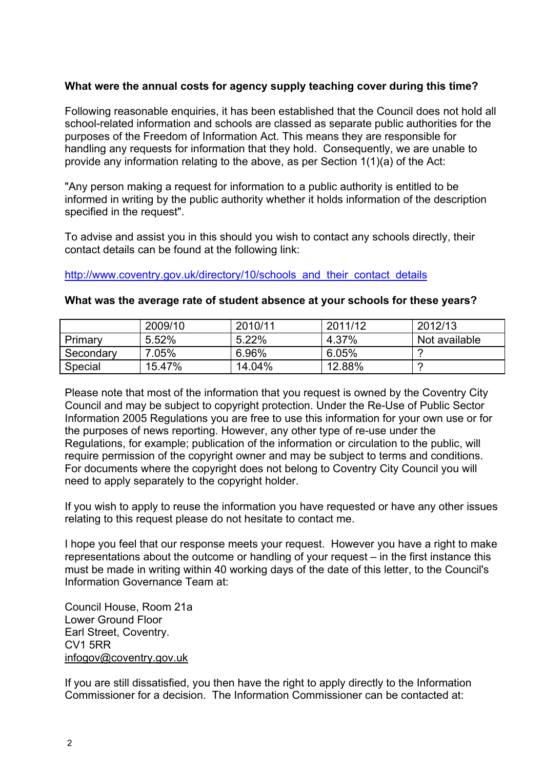# **What were the annual costs for agency supply teaching cover during this time?**

Following reasonable enquiries, it has been established that the Council does not hold all school-related information and schools are classed as separate public authorities for the purposes of the Freedom of Information Act. This means they are responsible for handling any requests for information that they hold. Consequently, we are unable to provide any information relating to the above, as per Section 1(1)(a) of the Act:

"Any person making a request for information to a public authority is entitled to be informed in writing by the public authority whether it holds information of the description specified in the request".

To advise and assist you in this should you wish to contact any schools directly, their contact details can be found at the following link:

[http://www.coventry.gov.uk/directory/10/schools and their](http://www.coventry.gov.uk/directory/10/schools_and_their_contact_details) contact details

Special 15.47% | 14.04% | 12.88% | ?

|           | 2009/10 | 2010/11 | 2011/12 | 2012/13       |
|-----------|---------|---------|---------|---------------|
| Primary   | 5.52%   | 5.22%   | 4.37%   | Not available |
| Secondary | 7.05%   | 6.96%   | 6.05%   | $\epsilon$    |

## **What was the average rate of student absence at your schools for these years?**

Please note that most of the information that you request is owned by the Coventry City Council and may be subject to copyright protection. Under the Re-Use of Public Sector Information 2005 Regulations you are free to use this information for your own use or for the purposes of news reporting. However, any other type of re-use under the Regulations, for example; publication of the information or circulation to the public, will require permission of the copyright owner and may be subject to terms and conditions. For documents where the copyright does not belong to Coventry City Council you will need to apply separately to the copyright holder.

If you wish to apply to reuse the information you have requested or have any other issues relating to this request please do not hesitate to contact me.

I hope you feel that our response meets your request. However you have a right to make representations about the outcome or handling of your request – in the first instance this must be made in writing within 40 working days of the date of this letter, to the Council's Information Governance Team at:

Council House, Room 21a Lower Ground Floor Earl Street, Coventry. CV1 5RR [infogov@coventry.gov.uk](mailto:infogov@coventry.gov.uk)

If you are still dissatisfied, you then have the right to apply directly to the Information Commissioner for a decision. The Information Commissioner can be contacted at: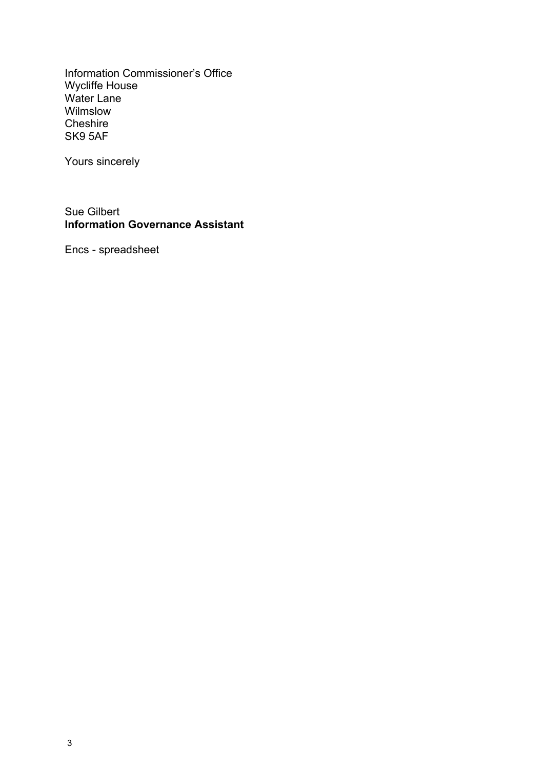Information Commissioner's Office Wycliffe House Water Lane Wilmslow **Cheshire** SK9 5AF

Yours sincerely

Sue Gilbert **Information Governance Assistant** 

Encs - spreadsheet